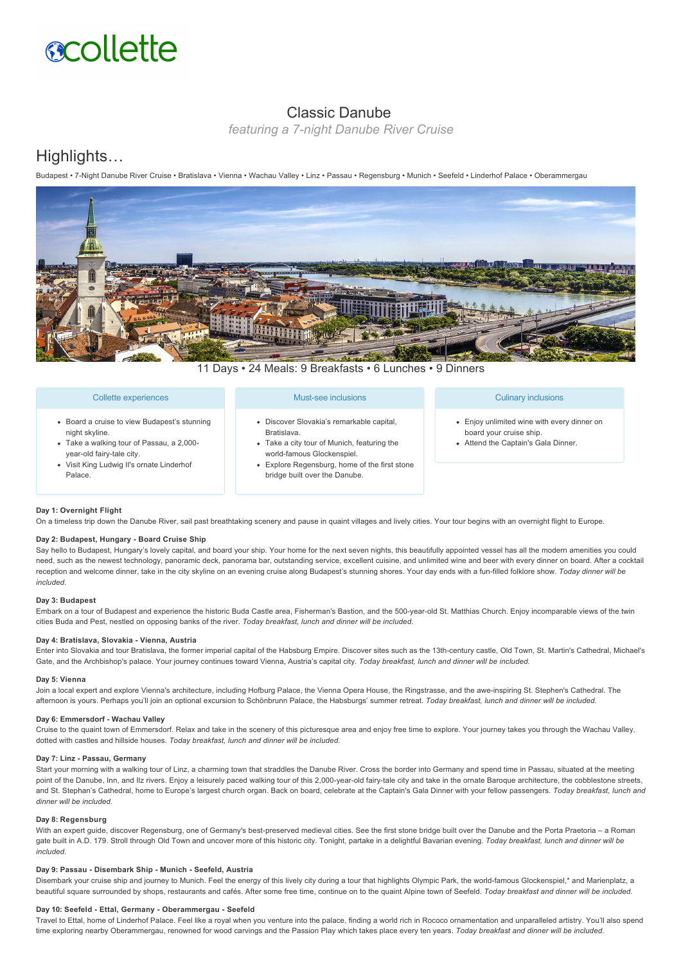# **scollette**

# Classic Danube

*featuring a 7-night Danube River Cruise* 

# Highlights…

Budapest • 7Night Danube River Cruise • Bratislava • Vienna • Wachau Valley • Linz • Passau • Regensburg • Munich • Seefeld • Linderhof Palace • Oberammergau



11 Days • 24 Meals: 9 Breakfasts • 6 Lunches • 9 Dinners

#### Collette experiences

- Board a cruise to view Budapest's stunning night skyline.
- Take a walking tour of Passau, a 2,000 year-old fairy-tale city.
- Visit King Ludwig II's ornate Linderhof Palace.

#### Must-see inclusions

- Discover Slovakia's remarkable capital, Bratislava.
- Take a city tour of Munich, featuring the world-famous Glockenspiel.
- Explore Regensburg, home of the first stone bridge built over the Danube.

#### Culinary inclusions

- Enjoy unlimited wine with every dinner on board your cruise ship.
- Attend the Captain's Gala Dinner.

# **Day 1: Overnight Flight**

On a timeless trip down the Danube River, sail past breathtaking scenery and pause in quaint villages and lively cities. Your tour begins with an overnight flight to Europe.

# Day 2: Budapest, Hungary - Board Cruise Ship

Say hello to Budapest, Hungary's lovely capital, and board your ship. Your home for the next seven nights, this beautifully appointed vessel has all the modern amenities you could need, such as the newest technology, panoramic deck, panorama bar, outstanding service, excellent cuisine, and unlimited wine and beer with every dinner on board. After a cocktail reception and welcome dinner, take in the city skyline on an evening cruise along Budapest's stunning shores. Your day ends with a fun-filled folklore show. Today dinner will be *included.*

#### **Day 3: Budapest**

Embark on a tour of Budapest and experience the historic Buda Castle area, Fisherman's Bastion, and the 500-year-old St. Matthias Church. Enjoy incomparable views of the twin cities Buda and Pest, nestled on opposing banks of the river. *Today breakfast, lunch and dinner will be included.*

#### **Day 4: Bratislava, Slovakia Vienna, Austria**

Enter into Slovakia and tour Bratislava, the former imperial capital of the Habsburg Empire. Discover sites such as the 13th-century castle, Old Town, St. Martin's Cathedral, Michael's Gate, and the Archbishop's palace. Your journey continues toward Vienna, Austria's capital city. *Today breakfast, lunch and dinner will be included.*

#### **Day 5: Vienna**

Join a local expert and explore Vienna's architecture, including Hofburg Palace, the Vienna Opera House, the Ringstrasse, and the awe-inspiring St. Stephen's Cathedral. The afternoon is yours. Perhaps you'll join an optional excursion to Schönbrunn Palace, the Habsburgs' summer retreat. *Today breakfast, lunch and dinner will be included.*

# **Day 6: Emmersdorf - Wachau Valley**

Cruise to the quaint town of Emmersdorf. Relax and take in the scenery of this picturesque area and enjoy free time to explore. Your journey takes you through the Wachau Valley, dotted with castles and hillside houses. *Today breakfast, lunch and dinner will be included.*

#### Day 7: Linz - Passau, Germany

Start your morning with a walking tour of Linz, a charming town that straddles the Danube River. Cross the border into Germany and spend time in Passau, situated at the meeting point of the Danube, Inn, and IIz rivers. Enjoy a leisurely paced walking tour of this 2,000-year-old fairy-tale city and take in the ornate Baroque architecture, the cobblestone streets, and St. Stephan's Cathedral, home to Europe's largest church organ. Back on board, celebrate at the Captain's Gala Dinner with your fellow passengers. *Today breakfast, lunch and dinner will be included.*

## **Day 8: Regensburg**

With an expert quide, discover Regensburg, one of Germany's best-preserved medieval cities. See the first stone bridge built over the Danube and the Porta Praetoria – a Roman gate built in A.D. 179. Stroll through Old Town and uncover more of this historic city. Tonight, partake in a delightful Bavarian evening. Today breakfast, lunch and dinner will be *included.*

#### Day 9: Passau - Disembark Ship - Munich - Seefeld, Austria

Disembark your cruise ship and journey to Munich. Feel the energy of this lively city during a tour that highlights Olympic Park, the world-famous Glockenspiel,\* and Marienplatz, a beautiful square surrounded by shops, restaurants and cafés. After some free time, continue on to the quaint Alpine town of Seefeld. *Today breakfast and dinner will be included.*

## Day 10: Seefeld - Ettal, Germany - Oberammergau - Seefeld

Travel to Ettal, home of Linderhof Palace. Feel like a royal when you venture into the palace, finding a world rich in Rococo ornamentation and unparalleled artistry. You'll also spend time exploring nearby Oberammergau, renowned for wood carvings and the Passion Play which takes place every ten years. *Today breakfast and dinner will be included.*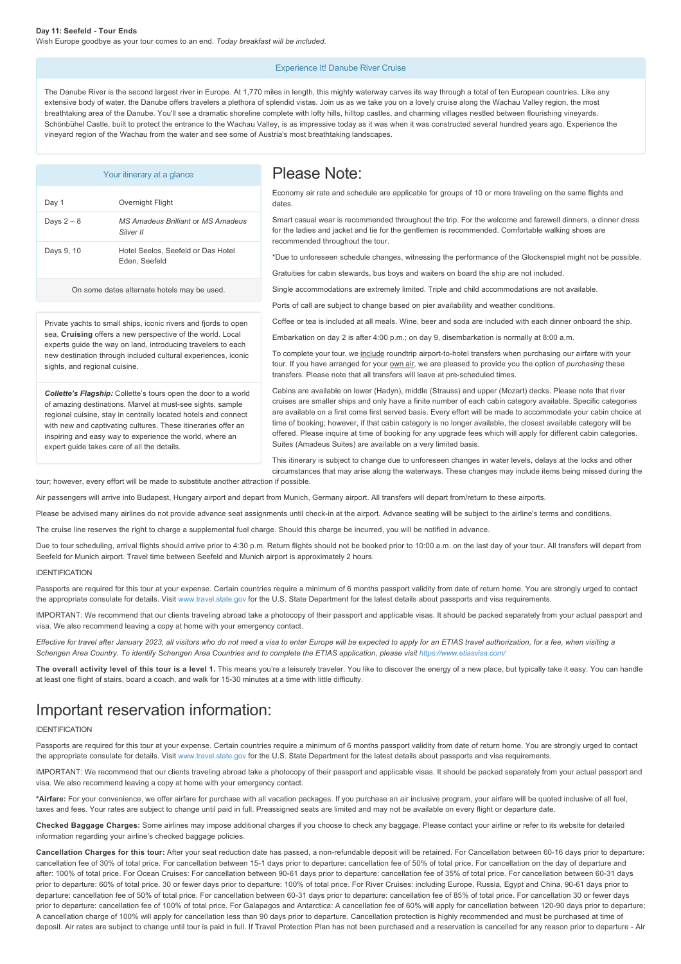# Experience It! Danube River Cruise

The Danube River is the second largest river in Europe. At 1,770 miles in length, this mighty waterway carves its way through a total of ten European countries. Like any extensive body of water, the Danube offers travelers a plethora of splendid vistas. Join us as we take you on a lovely cruise along the Wachau Valley region, the most breathtaking area of the Danube. You'll see a dramatic shoreline complete with lofty hills, hilltop castles, and charming villages nestled between flourishing vineyards. Schönbühel Castle, built to protect the entrance to the Wachau Valley, is as impressive today as it was when it was constructed several hundred years ago. Experience the vineyard region of the Wachau from the water and see some of Austria's most breathtaking landscapes.

| Your itinerary at a glance                                                                                                                                                                                                                                                                                                                                                 |                                                        | Please Note:                                                                                                                                                                                                                                                                                                                                                                                                                                                                                                                                                                                                                                          |
|----------------------------------------------------------------------------------------------------------------------------------------------------------------------------------------------------------------------------------------------------------------------------------------------------------------------------------------------------------------------------|--------------------------------------------------------|-------------------------------------------------------------------------------------------------------------------------------------------------------------------------------------------------------------------------------------------------------------------------------------------------------------------------------------------------------------------------------------------------------------------------------------------------------------------------------------------------------------------------------------------------------------------------------------------------------------------------------------------------------|
| Day 1                                                                                                                                                                                                                                                                                                                                                                      | Overnight Flight                                       | Economy air rate and schedule are applicable for groups of 10 or more traveling on the same flights and<br>dates.                                                                                                                                                                                                                                                                                                                                                                                                                                                                                                                                     |
| Days $2-8$                                                                                                                                                                                                                                                                                                                                                                 | <b>MS Amadeus Brilliant or MS Amadeus</b><br>Silver II | Smart casual wear is recommended throughout the trip. For the welcome and farewell dinners, a dinner dress<br>for the ladies and jacket and tie for the gentlemen is recommended. Comfortable walking shoes are<br>recommended throughout the tour.<br>*Due to unforeseen schedule changes, witnessing the performance of the Glockenspiel might not be possible.<br>Gratuities for cabin stewards, bus boys and waiters on board the ship are not included.                                                                                                                                                                                          |
| Days 9, 10                                                                                                                                                                                                                                                                                                                                                                 | Hotel Seelos, Seefeld or Das Hotel<br>Eden, Seefeld    |                                                                                                                                                                                                                                                                                                                                                                                                                                                                                                                                                                                                                                                       |
| On some dates alternate hotels may be used.                                                                                                                                                                                                                                                                                                                                |                                                        | Single accommodations are extremely limited. Triple and child accommodations are not available.<br>Ports of call are subject to change based on pier availability and weather conditions.                                                                                                                                                                                                                                                                                                                                                                                                                                                             |
| Private yachts to small ships, iconic rivers and fjords to open<br>sea, Cruising offers a new perspective of the world. Local<br>experts guide the way on land, introducing travelers to each<br>new destination through included cultural experiences, iconic<br>sights, and regional cuisine.                                                                            |                                                        | Coffee or tea is included at all meals. Wine, beer and soda are included with each dinner onboard the ship.<br>Embarkation on day 2 is after 4:00 p.m.; on day 9, disembarkation is normally at 8:00 a.m.<br>To complete your tour, we include roundtrip airport-to-hotel transfers when purchasing our airfare with your<br>tour. If you have arranged for your own air, we are pleased to provide you the option of <i>purchasing</i> these<br>transfers. Please note that all transfers will leave at pre-scheduled times.                                                                                                                         |
| Collette's Flagship: Collette's tours open the door to a world<br>of amazing destinations. Marvel at must-see sights, sample<br>regional cuisine, stay in centrally located hotels and connect<br>with new and captivating cultures. These itineraries offer an<br>inspiring and easy way to experience the world, where an<br>expert guide takes care of all the details. |                                                        | Cabins are available on lower (Hadyn), middle (Strauss) and upper (Mozart) decks. Please note that river<br>cruises are smaller ships and only have a finite number of each cabin category available. Specific categories<br>are available on a first come first served basis. Every effort will be made to accommodate your cabin choice at<br>time of booking; however, if that cabin category is no longer available, the closest available category will be<br>offered. Please inquire at time of booking for any upgrade fees which will apply for different cabin categories.<br>Suites (Amadeus Suites) are available on a very limited basis. |
| tour; however, every effort will be made to substitute another attraction if possible.                                                                                                                                                                                                                                                                                     |                                                        | This itinerary is subject to change due to unforeseen changes in water levels, delays at the locks and other<br>circumstances that may arise along the waterways. These changes may include items being missed during the                                                                                                                                                                                                                                                                                                                                                                                                                             |
|                                                                                                                                                                                                                                                                                                                                                                            |                                                        | Air passengers will arrive into Budapest, Hungary airport and depart from Munich, Germany airport. All transfers will depart from/return to these airports.                                                                                                                                                                                                                                                                                                                                                                                                                                                                                           |
|                                                                                                                                                                                                                                                                                                                                                                            |                                                        | Please be advised many airlines do not provide advance seat assignments until check-in at the airport. Advance seating will be subject to the airline's terms and conditions.                                                                                                                                                                                                                                                                                                                                                                                                                                                                         |
| THE REPORT OF THE RESIDENCE REPORT OF THE RESIDENCE OF A STRINGER RESIDENCE RESIDENCE IN A STRINGER RESIDENCE.                                                                                                                                                                                                                                                             |                                                        |                                                                                                                                                                                                                                                                                                                                                                                                                                                                                                                                                                                                                                                       |

The cruise line reserves the right to charge a supplemental fuel charge. Should this charge be incurred, you will be notified in advance.

Due to tour scheduling, arrival flights should arrive prior to 4:30 p.m. Return flights should not be booked prior to 10:00 a.m. on the last day of your tour. All transfers will depart from Seefeld for Munich airport. Travel time between Seefeld and Munich airport is approximately 2 hours.

#### IDENTIFICATION

Passports are required for this tour at your expense. Certain countries require a minimum of 6 months passport validity from date of return home. You are strongly urged to contact the appropriate consulate for details. Visit [www.travel.state.gov](https://itinerary.collette.com/Documents/Flyer/14393/USD/www.travel.state.gov) for the U.S. State Department for the latest details about passports and visa requirements.

IMPORTANT: We recommend that our clients traveling abroad take a photocopy of their passport and applicable visas. It should be packed separately from your actual passport and visa. We also recommend leaving a copy at home with your emergency contact.

*Effective for travel after January 2023, all visitors who do not need a visa to enter Europe will be expected to apply for an ETIAS travel authorization, for a fee, when visiting a* Schengen Area Country. To identify Schengen Area Countries and to complete the ETIAS application, please visit<https://www.etiasvisa.com/>

**The overall activity level of this tour is a level 1.** This means you're a leisurely traveler. You like to discover the energy of a new place, but typically take it easy. You can handle at least one flight of stairs, board a coach, and walk for 15-30 minutes at a time with little difficulty.

# Important reservation information:

#### IDENTIFICATION

Passports are required for this tour at your expense. Certain countries require a minimum of 6 months passport validity from date of return home. You are strongly urged to contact the appropriate consulate for details. Visit [www.travel.state.gov](https://itinerary.collette.com/Documents/Flyer/14393/USD/www.travel.state.gov) for the U.S. State Department for the latest details about passports and visa requirements.

IMPORTANT: We recommend that our clients traveling abroad take a photocopy of their passport and applicable visas. It should be packed separately from your actual passport and visa. We also recommend leaving a copy at home with your emergency contact.

**\*Airfare:** For your convenience, we offer airfare for purchase with all vacation packages. If you purchase an air inclusive program, your airfare will be quoted inclusive of all fuel, taxes and fees. Your rates are subject to change until paid in full. Preassigned seats are limited and may not be available on every flight or departure date.

**Checked Baggage Charges:** Some airlines may impose additional charges if you choose to check any baggage. Please contact your airline or refer to its website for detailed information regarding your airline's checked baggage policies.

Cancellation Charges for this tour: After your seat reduction date has passed, a non-refundable deposit will be retained. For Cancellation between 60-16 days prior to departure: cancellation fee of 30% of total price. For cancellation between 15-1 days prior to departure: cancellation fee of 50% of total price. For cancellation on the day of departure and after: 100% of total price. For Ocean Cruises: For cancellation between 90-61 days prior to departure: cancellation fee of 35% of total price. For cancellation between 60-31 days prior to departure: 60% of total price. 30 or fewer days prior to departure: 100% of total price. For River Cruises: including Europe, Russia, Egypt and China, 9061 days prior to departure: cancellation fee of 50% of total price. For cancellation between 6031 days prior to departure: cancellation fee of 85% of total price. For cancellation 30 or fewer days prior to departure: cancellation fee of 100% of total price. For Galapagos and Antarctica: A cancellation fee of 60% will apply for cancellation between 120-90 days prior to departure; A cancellation charge of 100% will apply for cancellation less than 90 days prior to departure. Cancellation protection is highly recommended and must be purchased at time of deposit. Air rates are subject to change until tour is paid in full. If Travel Protection Plan has not been purchased and a reservation is cancelled for any reason prior to departure - Air